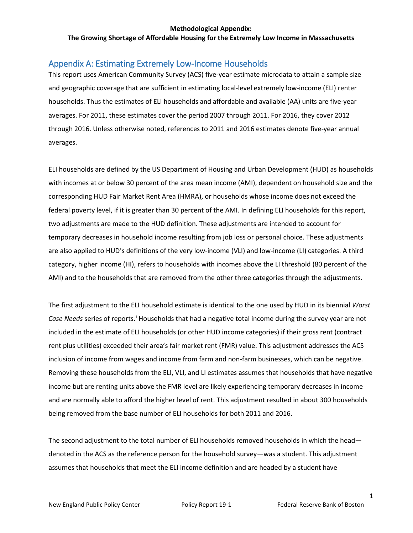#### **The Growing Shortage of Affordable Housing for the Extremely Low Income in Massachusetts**

## Appendix A: Estimating Extremely Low-Income Households

This report uses American Community Survey (ACS) five-year estimate microdata to attain a sample size and geographic coverage that are sufficient in estimating local-level extremely low-income (ELI) renter households. Thus the estimates of ELI households and affordable and available (AA) units are five-year averages. For 2011, these estimates cover the period 2007 through 2011. For 2016, they cover 2012 through 2016. Unless otherwise noted, references to 2011 and 2016 estimates denote five-year annual averages.

ELI households are defined by the US Department of Housing and Urban Development (HUD) as households with incomes at or below 30 percent of the area mean income (AMI), dependent on household size and the corresponding HUD Fair Market Rent Area (HMRA), or households whose income does not exceed the federal poverty level, if it is greater than 30 percent of the AMI. In defining ELI households for this report, two adjustments are made to the HUD definition. These adjustments are intended to account for temporary decreases in household income resulting from job loss or personal choice. These adjustments are also applied to HUD's definitions of the very low-income (VLI) and low-income (LI) categories. A third category, higher income (HI), refers to households with incomes above the LI threshold (80 percent of the AMI) and to the households that are removed from the other three categories through the adjustments.

The first adjustment to the ELI household estimate is identical to the one used by HUD in its biennial *Worst*  Case Needs ser[i](#page-9-0)es of reports.<sup>i</sup> Households that had a negative total income during the survey year are not included in the estimate of ELI households (or other HUD income categories) if their gross rent (contract rent plus utilities) exceeded their area's fair market rent (FMR) value. This adjustment addresses the ACS inclusion of income from wages and income from farm and non-farm businesses, which can be negative. Removing these households from the ELI, VLI, and LI estimates assumes that households that have negative income but are renting units above the FMR level are likely experiencing temporary decreases in income and are normally able to afford the higher level of rent. This adjustment resulted in about 300 households being removed from the base number of ELI households for both 2011 and 2016.

The second adjustment to the total number of ELI households removed households in which the head denoted in the ACS as the reference person for the household survey—was a student. This adjustment assumes that households that meet the ELI income definition and are headed by a student have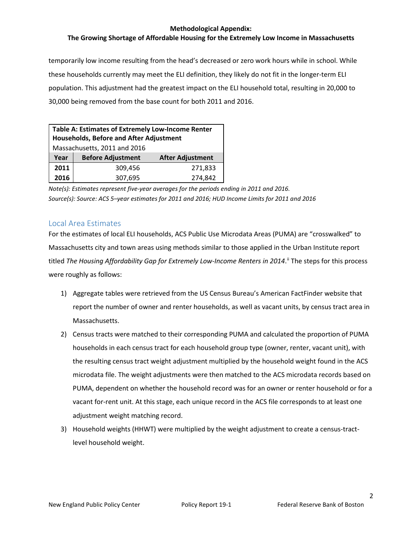## **The Growing Shortage of Affordable Housing for the Extremely Low Income in Massachusetts**

temporarily low income resulting from the head's decreased or zero work hours while in school. While these households currently may meet the ELI definition, they likely do not fit in the longer-term ELI population. This adjustment had the greatest impact on the ELI household total, resulting in 20,000 to 30,000 being removed from the base count for both 2011 and 2016.

| Table A: Estimates of Extremely Low-Income Renter<br><b>Households, Before and After Adjustment</b> |                          |                         |
|-----------------------------------------------------------------------------------------------------|--------------------------|-------------------------|
| Massachusetts, 2011 and 2016                                                                        |                          |                         |
| Year                                                                                                | <b>Before Adjustment</b> | <b>After Adjustment</b> |
| 2011                                                                                                | 309,456                  | 271,833                 |
| 2016                                                                                                | 307,695                  | 274,842                 |

*Note(s): Estimates represent five-year averages for the periods ending in 2011 and 2016. Source(s): Source: ACS 5–year estimates for 2011 and 2016; HUD Income Limits for 2011 and 2016*

## Local Area Estimates

For the estimates of local ELI households, ACS Public Use Microdata Areas (PUMA) are "crosswalked" to Massachusetts city and town areas using methods similar to those applied in the Urban Institute report titled The Housing Affordability Gap for Extremely Low-Income Renters in 2014.<sup>"</sup> The steps for this process were roughly as follows:

- 1) Aggregate tables were retrieved from the US Census Bureau's American FactFinder website that report the number of owner and renter households, as well as vacant units, by census tract area in Massachusetts.
- 2) Census tracts were matched to their corresponding PUMA and calculated the proportion of PUMA households in each census tract for each household group type (owner, renter, vacant unit), with the resulting census tract weight adjustment multiplied by the household weight found in the ACS microdata file. The weight adjustments were then matched to the ACS microdata records based on PUMA, dependent on whether the household record was for an owner or renter household or for a vacant for-rent unit. At this stage, each unique record in the ACS file corresponds to at least one adjustment weight matching record.
- 3) Household weights (HHWT) were multiplied by the weight adjustment to create a census-tractlevel household weight.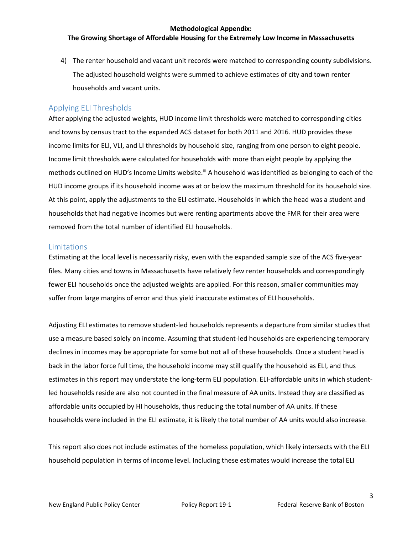### **The Growing Shortage of Affordable Housing for the Extremely Low Income in Massachusetts**

4) The renter household and vacant unit records were matched to corresponding county subdivisions. The adjusted household weights were summed to achieve estimates of city and town renter households and vacant units.

## Applying ELI Thresholds

After applying the adjusted weights, HUD income limit thresholds were matched to corresponding cities and towns by census tract to the expanded ACS dataset for both 2011 and 2016. HUD provides these income limits for ELI, VLI, and LI thresholds by household size, ranging from one person to eight people. Income limit thresholds were calculated for households with more than eight people by applying the methods outlined on HUD's Income Limits website.<sup>[iii](#page-9-2)</sup> A household was identified as belonging to each of the HUD income groups if its household income was at or below the maximum threshold for its household size. At this point, apply the adjustments to the ELI estimate. Households in which the head was a student and households that had negative incomes but were renting apartments above the FMR for their area were removed from the total number of identified ELI households.

## **Limitations**

Estimating at the local level is necessarily risky, even with the expanded sample size of the ACS five-year files. Many cities and towns in Massachusetts have relatively few renter households and correspondingly fewer ELI households once the adjusted weights are applied. For this reason, smaller communities may suffer from large margins of error and thus yield inaccurate estimates of ELI households.

Adjusting ELI estimates to remove student-led households represents a departure from similar studies that use a measure based solely on income. Assuming that student-led households are experiencing temporary declines in incomes may be appropriate for some but not all of these households. Once a student head is back in the labor force full time, the household income may still qualify the household as ELI, and thus estimates in this report may understate the long-term ELI population. ELI-affordable units in which studentled households reside are also not counted in the final measure of AA units. Instead they are classified as affordable units occupied by HI households, thus reducing the total number of AA units. If these households were included in the ELI estimate, it is likely the total number of AA units would also increase.

This report also does not include estimates of the homeless population, which likely intersects with the ELI household population in terms of income level. Including these estimates would increase the total ELI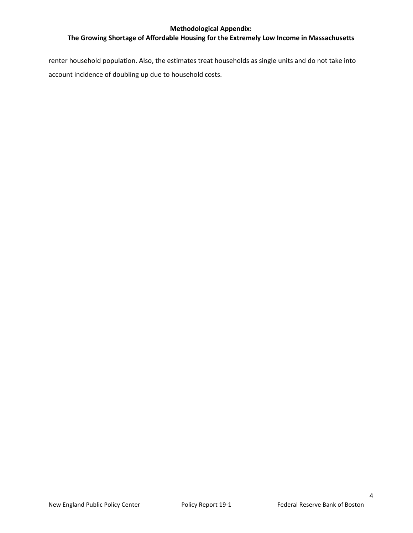## **The Growing Shortage of Affordable Housing for the Extremely Low Income in Massachusetts**

renter household population. Also, the estimates treat households as single units and do not take into account incidence of doubling up due to household costs.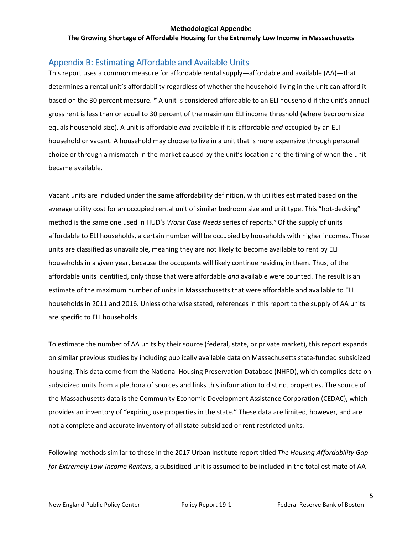### **The Growing Shortage of Affordable Housing for the Extremely Low Income in Massachusetts**

## Appendix B: Estimating Affordable and Available Units

This report uses a common measure for affordable rental supply—affordable and available (AA)—that determines a rental unit's affordability regardless of whether the household living in the unit can afford it based on the 30 percent measure. <sup>[iv](#page-9-3)</sup> A unit is considered affordable to an ELI household if the unit's annual gross rent is less than or equal to 30 percent of the maximum ELI income threshold (where bedroom size equals household size). A unit is affordable *and* available if it is affordable *and* occupied by an ELI household or vacant. A household may choose to live in a unit that is more expensive through personal choice or through a mismatch in the market caused by the unit's location and the timing of when the unit became available.

Vacant units are included under the same affordability definition, with utilities estimated based on the average utility cost for an occupied rental unit of similar bedroom size and unit type. This "hot-decking" method is the same one used in HUD's Worst Case Needs series of reports.<sup>[v](#page-9-4)</sup> Of the supply of units affordable to ELI households, a certain number will be occupied by households with higher incomes. These units are classified as unavailable, meaning they are not likely to become available to rent by ELI households in a given year, because the occupants will likely continue residing in them. Thus, of the affordable units identified, only those that were affordable *and* available were counted. The result is an estimate of the maximum number of units in Massachusetts that were affordable and available to ELI households in 2011 and 2016. Unless otherwise stated, references in this report to the supply of AA units are specific to ELI households.

To estimate the number of AA units by their source (federal, state, or private market), this report expands on similar previous studies by including publically available data on Massachusetts state-funded subsidized housing. This data come from the National Housing Preservation Database (NHPD), which compiles data on subsidized units from a plethora of sources and links this information to distinct properties. The source of the Massachusetts data is the Community Economic Development Assistance Corporation (CEDAC), which provides an inventory of "expiring use properties in the state." These data are limited, however, and are not a complete and accurate inventory of all state-subsidized or rent restricted units.

Following methods similar to those in the 2017 Urban Institute report titled *The Housing Affordability Gap for Extremely Low-Income Renters*, a subsidized unit is assumed to be included in the total estimate of AA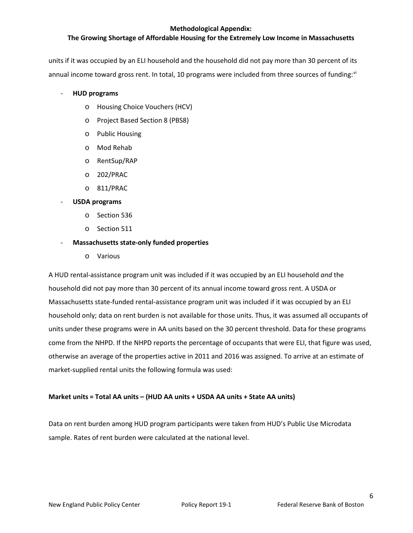## **The Growing Shortage of Affordable Housing for the Extremely Low Income in Massachusetts**

units if it was occupied by an ELI household and the household did not pay more than 30 percent of its annual income toward gross rent. In total, 10 programs were included from three sources of funding:<sup>[vi](#page-9-5)</sup>

#### - **HUD programs**

- o Housing Choice Vouchers (HCV)
- o Project Based Section 8 (PBS8)
- o Public Housing
- o Mod Rehab
- o RentSup/RAP
- o 202/PRAC
- o 811/PRAC

## - **USDA programs**

- o Section 536
- o Section 511

## - **Massachusetts state-only funded properties**

o Various

A HUD rental-assistance program unit was included if it was occupied by an ELI household *and* the household did not pay more than 30 percent of its annual income toward gross rent. A USDA or Massachusetts state-funded rental-assistance program unit was included if it was occupied by an ELI household only; data on rent burden is not available for those units. Thus, it was assumed all occupants of units under these programs were in AA units based on the 30 percent threshold. Data for these programs come from the NHPD. If the NHPD reports the percentage of occupants that were ELI, that figure was used, otherwise an average of the properties active in 2011 and 2016 was assigned. To arrive at an estimate of market-supplied rental units the following formula was used:

## **Market units = Total AA units – (HUD AA units + USDA AA units + State AA units)**

Data on rent burden among HUD program participants were taken from HUD's Public Use Microdata sample. Rates of rent burden were calculated at the national level.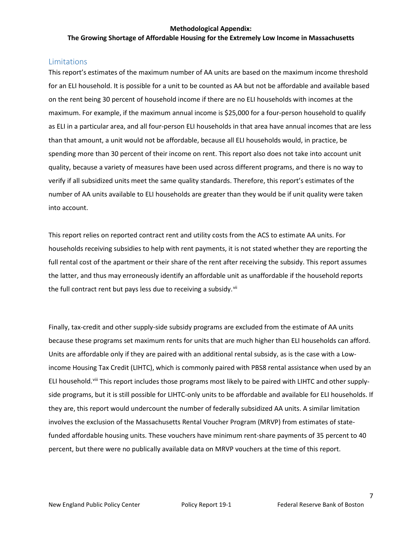### **The Growing Shortage of Affordable Housing for the Extremely Low Income in Massachusetts**

## Limitations

This report's estimates of the maximum number of AA units are based on the maximum income threshold for an ELI household. It is possible for a unit to be counted as AA but not be affordable and available based on the rent being 30 percent of household income if there are no ELI households with incomes at the maximum. For example, if the maximum annual income is \$25,000 for a four-person household to qualify as ELI in a particular area, and all four-person ELI households in that area have annual incomes that are less than that amount, a unit would not be affordable, because all ELI households would, in practice, be spending more than 30 percent of their income on rent. This report also does not take into account unit quality, because a variety of measures have been used across different programs, and there is no way to verify if all subsidized units meet the same quality standards. Therefore, this report's estimates of the number of AA units available to ELI households are greater than they would be if unit quality were taken into account.

This report relies on reported contract rent and utility costs from the ACS to estimate AA units. For households receiving subsidies to help with rent payments, it is not stated whether they are reporting the full rental cost of the apartment or their share of the rent after receiving the subsidy. This report assumes the latter, and thus may erroneously identify an affordable unit as unaffordable if the household reports the full contract rent but pays less due to receiving a subsidy.<sup>[vii](#page-9-6)</sup>

Finally, tax-credit and other supply-side subsidy programs are excluded from the estimate of AA units because these programs set maximum rents for units that are much higher than ELI households can afford. Units are affordable only if they are paired with an additional rental subsidy, as is the case with a Lowincome Housing Tax Credit (LIHTC), which is commonly paired with PBS8 rental assistance when used by an ELI household.<sup>[viii](#page-9-7)</sup> This report includes those programs most likely to be paired with LIHTC and other supplyside programs, but it is still possible for LIHTC-only units to be affordable and available for ELI households. If they are, this report would undercount the number of federally subsidized AA units. A similar limitation involves the exclusion of the Massachusetts Rental Voucher Program (MRVP) from estimates of statefunded affordable housing units. These vouchers have minimum rent-share payments of 35 percent to 40 percent, but there were no publically available data on MRVP vouchers at the time of this report.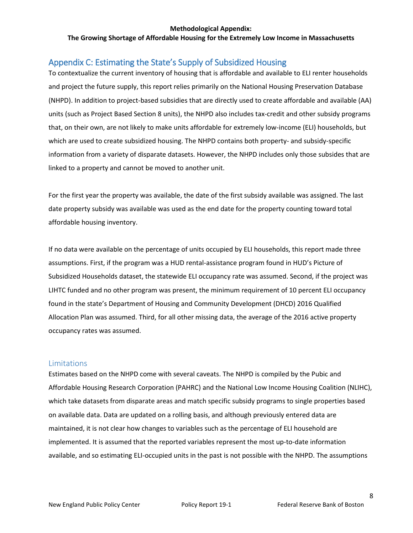#### **The Growing Shortage of Affordable Housing for the Extremely Low Income in Massachusetts**

# Appendix C: Estimating the State's Supply of Subsidized Housing

To contextualize the current inventory of housing that is affordable and available to ELI renter households and project the future supply, this report relies primarily on the National Housing Preservation Database (NHPD). In addition to project-based subsidies that are directly used to create affordable and available (AA) units (such as Project Based Section 8 units), the NHPD also includes tax-credit and other subsidy programs that, on their own, are not likely to make units affordable for extremely low-income (ELI) households, but which are used to create subsidized housing. The NHPD contains both property- and subsidy-specific information from a variety of disparate datasets. However, the NHPD includes only those subsides that are linked to a property and cannot be moved to another unit.

For the first year the property was available, the date of the first subsidy available was assigned. The last date property subsidy was available was used as the end date for the property counting toward total affordable housing inventory.

If no data were available on the percentage of units occupied by ELI households, this report made three assumptions. First, if the program was a HUD rental-assistance program found in HUD's Picture of Subsidized Households dataset, the statewide ELI occupancy rate was assumed. Second, if the project was LIHTC funded and no other program was present, the minimum requirement of 10 percent ELI occupancy found in the state's Department of Housing and Community Development (DHCD) 2016 Qualified Allocation Plan was assumed. Third, for all other missing data, the average of the 2016 active property occupancy rates was assumed.

## Limitations

Estimates based on the NHPD come with several caveats. The NHPD is compiled by the Pubic and Affordable Housing Research Corporation (PAHRC) and the National Low Income Housing Coalition (NLIHC), which take datasets from disparate areas and match specific subsidy programs to single properties based on available data. Data are updated on a rolling basis, and although previously entered data are maintained, it is not clear how changes to variables such as the percentage of ELI household are implemented. It is assumed that the reported variables represent the most up-to-date information available, and so estimating ELI-occupied units in the past is not possible with the NHPD. The assumptions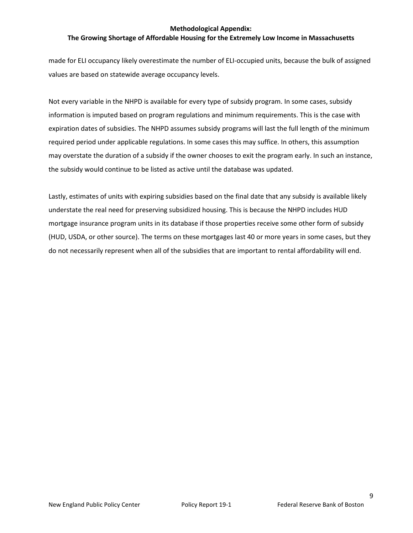### **The Growing Shortage of Affordable Housing for the Extremely Low Income in Massachusetts**

made for ELI occupancy likely overestimate the number of ELI-occupied units, because the bulk of assigned values are based on statewide average occupancy levels.

Not every variable in the NHPD is available for every type of subsidy program. In some cases, subsidy information is imputed based on program regulations and minimum requirements. This is the case with expiration dates of subsidies. The NHPD assumes subsidy programs will last the full length of the minimum required period under applicable regulations. In some cases this may suffice. In others, this assumption may overstate the duration of a subsidy if the owner chooses to exit the program early. In such an instance, the subsidy would continue to be listed as active until the database was updated.

Lastly, estimates of units with expiring subsidies based on the final date that any subsidy is available likely understate the real need for preserving subsidized housing. This is because the NHPD includes HUD mortgage insurance program units in its database if those properties receive some other form of subsidy (HUD, USDA, or other source). The terms on these mortgages last 40 or more years in some cases, but they do not necessarily represent when all of the subsidies that are important to rental affordability will end.